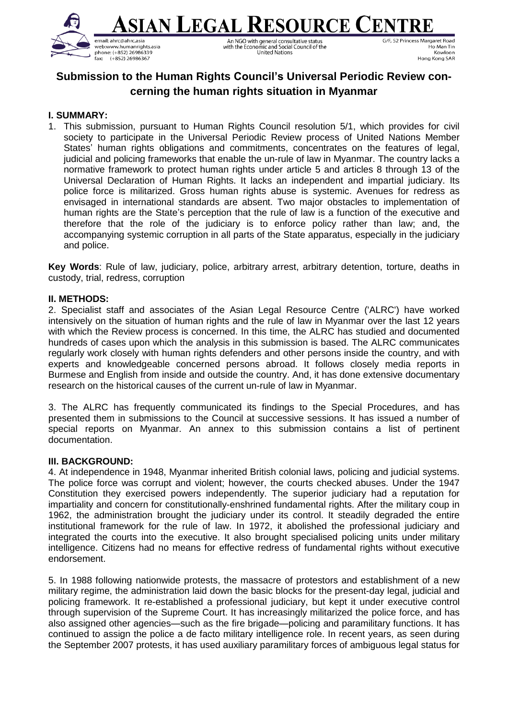

<u>sian Legal Resource Cent</u> An NGO with general consultative status<br>with the Economic and Social Council of the United Nations

G/F, 52 Princess Margaret Road Ho Man Tin Kowloon Hong Kong SAR

# **Submission to the Human Rights Council's Universal Periodic Review concerning the human rights situation in Myanmar**

### **I. SUMMARY:**

1. This submission, pursuant to Human Rights Council resolution 5/1, which provides for civil society to participate in the Universal Periodic Review process of United Nations Member States' human rights obligations and commitments, concentrates on the features of legal, judicial and policing frameworks that enable the un-rule of law in Myanmar. The country lacks a normative framework to protect human rights under article 5 and articles 8 through 13 of the Universal Declaration of Human Rights. It lacks an independent and impartial judiciary. Its police force is militarized. Gross human rights abuse is systemic. Avenues for redress as envisaged in international standards are absent. Two major obstacles to implementation of human rights are the State's perception that the rule of law is a function of the executive and therefore that the role of the judiciary is to enforce policy rather than law; and, the accompanying systemic corruption in all parts of the State apparatus, especially in the judiciary and police.

**Key Words**: Rule of law, judiciary, police, arbitrary arrest, arbitrary detention, torture, deaths in custody, trial, redress, corruption

#### **II. METHODS:**

2. Specialist staff and associates of the Asian Legal Resource Centre ('ALRC') have worked intensively on the situation of human rights and the rule of law in Myanmar over the last 12 years with which the Review process is concerned. In this time, the ALRC has studied and documented hundreds of cases upon which the analysis in this submission is based. The ALRC communicates regularly work closely with human rights defenders and other persons inside the country, and with experts and knowledgeable concerned persons abroad. It follows closely media reports in Burmese and English from inside and outside the country. And, it has done extensive documentary research on the historical causes of the current un-rule of law in Myanmar.

3. The ALRC has frequently communicated its findings to the Special Procedures, and has presented them in submissions to the Council at successive sessions. It has issued a number of special reports on Myanmar. An annex to this submission contains a list of pertinent documentation.

#### **III. BACKGROUND:**

4. At independence in 1948, Myanmar inherited British colonial laws, policing and judicial systems. The police force was corrupt and violent; however, the courts checked abuses. Under the 1947 Constitution they exercised powers independently. The superior judiciary had a reputation for impartiality and concern for constitutionally-enshrined fundamental rights. After the military coup in 1962, the administration brought the judiciary under its control. It steadily degraded the entire institutional framework for the rule of law. In 1972, it abolished the professional judiciary and integrated the courts into the executive. It also brought specialised policing units under military intelligence. Citizens had no means for effective redress of fundamental rights without executive endorsement.

5. In 1988 following nationwide protests, the massacre of protestors and establishment of a new military regime, the administration laid down the basic blocks for the present-day legal, judicial and policing framework. It re-established a professional judiciary, but kept it under executive control through supervision of the Supreme Court. It has increasingly militarized the police force, and has also assigned other agencies—such as the fire brigade—policing and paramilitary functions. It has continued to assign the police a de facto military intelligence role. In recent years, as seen during the September 2007 protests, it has used auxiliary paramilitary forces of ambiguous legal status for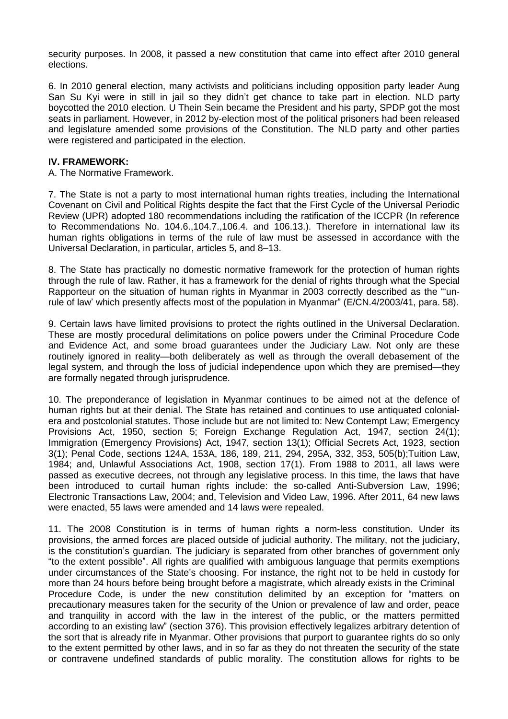security purposes. In 2008, it passed a new constitution that came into effect after 2010 general elections.

6. In 2010 general election, many activists and politicians including opposition party leader Aung San Su Kyi were in still in jail so they didn't get chance to take part in election. NLD party boycotted the 2010 election. U Thein Sein became the President and his party, SPDP got the most seats in parliament. However, in 2012 by-election most of the political prisoners had been released and legislature amended some provisions of the Constitution. The NLD party and other parties were registered and participated in the election.

#### **IV. FRAMEWORK:**

A. The Normative Framework.

7. The State is not a party to most international human rights treaties, including the International Covenant on Civil and Political Rights despite the fact that the First Cycle of the Universal Periodic Review (UPR) adopted 180 recommendations including the ratification of the ICCPR (In reference to Recommendations No. 104.6.,104.7.,106.4. and 106.13.). Therefore in international law its human rights obligations in terms of the rule of law must be assessed in accordance with the Universal Declaration, in particular, articles 5, and 8–13.

8. The State has practically no domestic normative framework for the protection of human rights through the rule of law. Rather, it has a framework for the denial of rights through what the Special Rapporteur on the situation of human rights in Myanmar in 2003 correctly described as the "'unrule of law' which presently affects most of the population in Myanmar" (E/CN.4/2003/41, para. 58).

9. Certain laws have limited provisions to protect the rights outlined in the Universal Declaration. These are mostly procedural delimitations on police powers under the Criminal Procedure Code and Evidence Act, and some broad guarantees under the Judiciary Law. Not only are these routinely ignored in reality—both deliberately as well as through the overall debasement of the legal system, and through the loss of judicial independence upon which they are premised—they are formally negated through jurisprudence.

10. The preponderance of legislation in Myanmar continues to be aimed not at the defence of human rights but at their denial. The State has retained and continues to use antiquated colonialera and postcolonial statutes. Those include but are not limited to: New Contempt Law; Emergency Provisions Act, 1950, section 5; Foreign Exchange Regulation Act, 1947, section 24(1); Immigration (Emergency Provisions) Act, 1947, section 13(1); Official Secrets Act, 1923, section 3(1); Penal Code, sections 124A, 153A, 186, 189, 211, 294, 295A, 332, 353, 505(b);Tuition Law, 1984; and, Unlawful Associations Act, 1908, section 17(1). From 1988 to 2011, all laws were passed as executive decrees, not through any legislative process. In this time, the laws that have been introduced to curtail human rights include: the so-called Anti-Subversion Law, 1996; Electronic Transactions Law, 2004; and, Television and Video Law, 1996. After 2011, 64 new laws were enacted, 55 laws were amended and 14 laws were repealed.

11. The 2008 Constitution is in terms of human rights a norm-less constitution. Under its provisions, the armed forces are placed outside of judicial authority. The military, not the judiciary, is the constitution's guardian. The judiciary is separated from other branches of government only "to the extent possible". All rights are qualified with ambiguous language that permits exemptions under circumstances of the State's choosing. For instance, the right not to be held in custody for more than 24 hours before being brought before a magistrate, which already exists in the Criminal Procedure Code, is under the new constitution delimited by an exception for "matters on precautionary measures taken for the security of the Union or prevalence of law and order, peace and tranquility in accord with the law in the interest of the public, or the matters permitted according to an existing law" (section 376). This provision effectively legalizes arbitrary detention of the sort that is already rife in Myanmar. Other provisions that purport to guarantee rights do so only to the extent permitted by other laws, and in so far as they do not threaten the security of the state or contravene undefined standards of public morality. The constitution allows for rights to be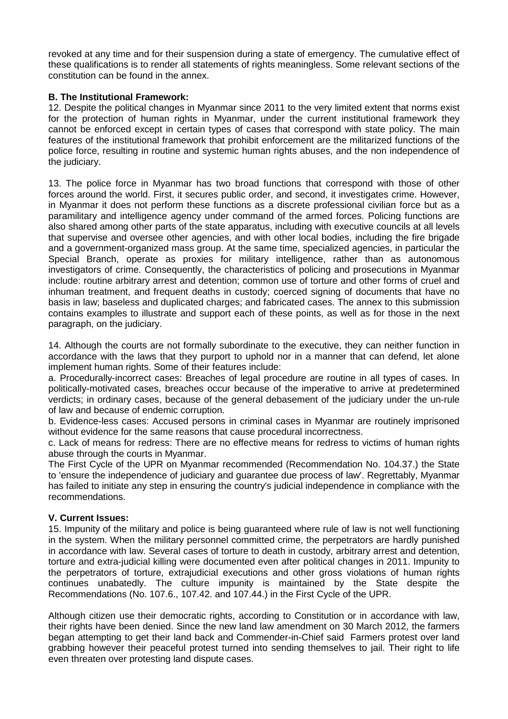revoked at any time and for their suspension during a state of emergency. The cumulative effect of these qualifications is to render all statements of rights meaningless. Some relevant sections of the constitution can be found in the annex.

# **B. The Institutional Framework:**

12. Despite the political changes in Myanmar since 2011 to the very limited extent that norms exist for the protection of human rights in Myanmar, under the current institutional framework they cannot be enforced except in certain types of cases that correspond with state policy. The main features of the institutional framework that prohibit enforcement are the militarized functions of the police force, resulting in routine and systemic human rights abuses, and the non independence of the judiciary.

13. The police force in Myanmar has two broad functions that correspond with those of other forces around the world. First, it secures public order, and second, it investigates crime. However, in Myanmar it does not perform these functions as a discrete professional civilian force but as a paramilitary and intelligence agency under command of the armed forces. Policing functions are also shared among other parts of the state apparatus, including with executive councils at all levels that supervise and oversee other agencies, and with other local bodies, including the fire brigade and a government-organized mass group. At the same time, specialized agencies, in particular the Special Branch, operate as proxies for military intelligence, rather than as autonomous investigators of crime. Consequently, the characteristics of policing and prosecutions in Myanmar include: routine arbitrary arrest and detention; common use of torture and other forms of cruel and inhuman treatment, and frequent deaths in custody; coerced signing of documents that have no basis in law; baseless and duplicated charges; and fabricated cases. The annex to this submission contains examples to illustrate and support each of these points, as well as for those in the next paragraph, on the judiciary.

14. Although the courts are not formally subordinate to the executive, they can neither function in accordance with the laws that they purport to uphold nor in a manner that can defend, let alone implement human rights. Some of their features include:

a. Procedurally-incorrect cases: Breaches of legal procedure are routine in all types of cases. In politically-motivated cases, breaches occur because of the imperative to arrive at predetermined verdicts; in ordinary cases, because of the general debasement of the judiciary under the un-rule of law and because of endemic corruption.

b. Evidence-less cases: Accused persons in criminal cases in Myanmar are routinely imprisoned without evidence for the same reasons that cause procedural incorrectness.

c. Lack of means for redress: There are no effective means for redress to victims of human rights abuse through the courts in Myanmar.

The First Cycle of the UPR on Myanmar recommended (Recommendation No. 104.37.) the State to 'ensure the independence of judiciary and guarantee due process of law'. Regrettably, Myanmar has failed to initiate any step in ensuring the country's judicial independence in compliance with the recommendations.

## **V. Current Issues:**

15. Impunity of the military and police is being guaranteed where rule of law is not well functioning in the system. When the military personnel committed crime, the perpetrators are hardly punished in accordance with law. Several cases of torture to death in custody, arbitrary arrest and detention, torture and extra-judicial killing were documented even after political changes in 2011. Impunity to the perpetrators of torture, extrajudicial executions and other gross violations of human rights continues unabatedly. The culture impunity is maintained by the State despite the Recommendations (No. 107.6., 107.42. and 107.44.) in the First Cycle of the UPR.

Although citizen use their democratic rights, according to Constitution or in accordance with law, their rights have been denied. Since the new land law amendment on 30 March 2012, the farmers began attempting to get their land back and Commender-in-Chief said Farmers protest over land grabbing however their peaceful protest turned into sending themselves to jail. Their right to life even threaten over protesting land dispute cases.